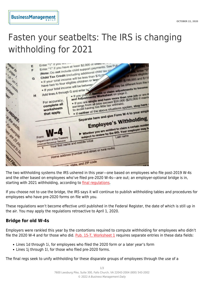## Fasten your seatbelts: The IRS is changing withholding for 2021



The two withholding systems the IRS ushered in this year—one based on employees who file post-2019 W-4s and the other based on employees who've filed pre-2020 W-4s—are out; an employer-optional bridge is in, starting with 2021 withholding, according to *final regulations*.

If you choose not to use the bridge, the IRS says it will continue to publish withholding tables and procedures for employees who have pre-2020 forms on file with you.

These regulations won't become effective until published in the Federal Register, the date of which is still up in the air. You may apply the regulations retroactive to April 1, 2020.

## **Bridge for old W-4s**

Employers were rankled this year by the contortions required to compute withholding for employees who didn't file the 2020 W-4 and for those who did. [Pub. 15-T, Worksheet 1](https://www.irs.gov/pub/irs-pdf/p15t.pdf) requires separate entries in these data fields:

- Lines 1d through 1i, for employees who filed the 2020 form or a later year's form
- Lines 1j through 1l, for those who filed pre-2020 forms.

The final regs seek to unify withholding for these disparate groups of employees through the use of a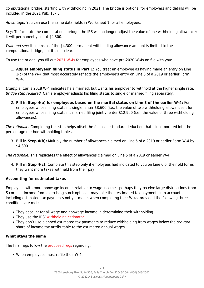computational bridge, starting with withholding in 2021. The bridge is optional for employers and details will be included in the 2021 Pub. 15-T.

Advantage: You can use the same data fields in Worksheet 1 for all employees.

Key: To facilitate the computational bridge, the IRS will no longer adjust the value of one withholding allowance; it will permanently set at \$4,300.

Wait and see: It seems as if the \$4,300 permanent withholding allowance amount is limited to the computational bridge, but it's not clear.

To use the bridge, you fill out [2021 W-4s](https://www.irs.gov/pub/irs-dft/fw4--dft.pdf) for employees who have pre-2020 W-4s on file with you:

1. **Adjust employees' filing status in Part 1:** You treat an employee as having made an entry on Line 1(c) of the W-4 that most accurately reflects the employee's entry on Line 3 of a 2019 or earlier Form W-4.

Example. Carl's 2018 W-4 indicates he's married, but wants his employer to withhold at the higher single rate. Bridge step required: Carl's employer adjusts his filing status to single or married filing separately.

2. **Fill in Step 4(a) for employees based on the marital status on Line 3 of the earlier W-4:** For employees whose filing status is single, enter \$8,600 (i.e., the value of two withholding allowances); for employees whose filing status is married filing jointly, enter \$12,900 (i.e., the value of three withholding allowances).

The rationale: Completing this step helps offset the full basic standard deduction that's incorporated into the percentage method withholding tables.

3. **Fill in Step 4(b):** Multiply the number of allowances claimed on Line 5 of a 2019 or earlier Form W-4 by \$4,300.

The rationale: This replicates the effect of allowances claimed on Line 5 of a 2019 or earlier W-4.

4. **Fill in Step 4(c):** Complete this step only if employees had indicated to you on Line 6 of their old forms they want more taxes withheld from their pay.

## **Accounting for estimated taxes**

Employees with more nonwage income, relative to wage income—perhaps they receive large distributions from S corps or income from exercising stock options—may take their estimated tax payments into account, including estimated tax payments not yet made, when completing their W-4s, provided the following three conditions are met:

- They account for all wage and nonwage income in determining their withholding
- They use the IRS' [withholding estimator](https://www.irs.gov/individuals/tax-withholding-estimator)
- They don't use planned estimated tax payments to reduce withholding from wages below the pro rata share of income tax attributable to the estimated annual wages.

## **What stays the same**

The final regs follow the [proposed regs](https://www.payrolllegalalert.com/1467/proposed-w-4-withholding-regs-mention-accuracy-15-times-simplicity-0-times) regarding:

When employees must refile their W-4s